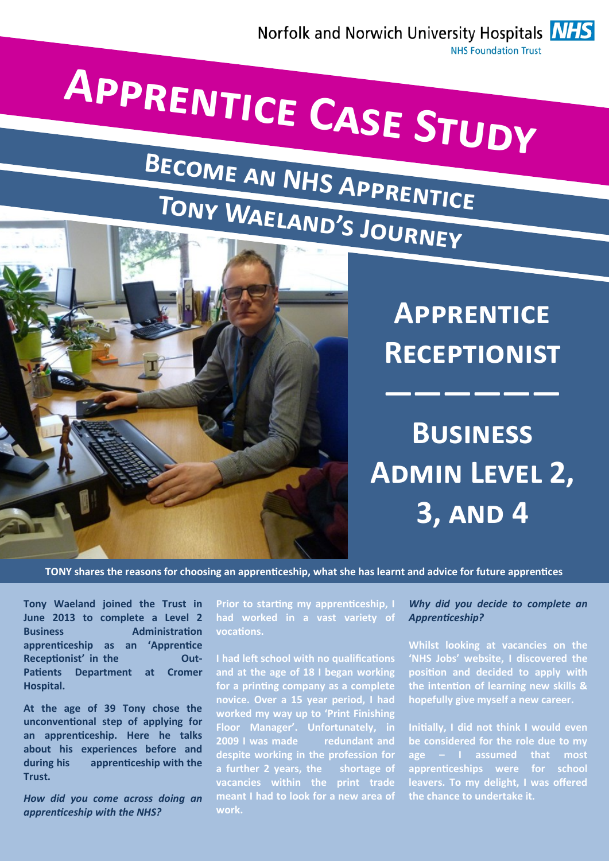

# **Apprentice Case Study**

# **Become an NHS Apprentice Tony Waeland's Journey**



**Apprentice Receptionist**

**——————**

**Business Admin Level 2, 3, and 4**

**TONY shares the reasons for choosing an apprenticeship, what she has learnt and advice for future apprentices**

**Tony Waeland joined the Trust in June 2013 to complete a Level 2 Business Administration apprenticeship as an 'Apprentice**  Receptionist' in the **Out-Patients Department at Cromer Hospital.** 

**At the age of 39 Tony chose the unconventional step of applying for an apprenticeship. Here he talks about his experiences before and during his apprenticeship with the Trust.**

*How did you come across doing an apprenticeship with the NHS?*

**Prior to starting my apprenticeship, I had worked in a vast variety of vocations.** 

**I had left school with no qualifications and at the age of 18 I began working for a printing company as a complete novice. Over a 15 year period, I had worked my way up to 'Print Finishing Floor Manager'. Unfortunately, in 2009 I was made redundant and despite working in the profession for a further 2 years, the shortage of vacancies within the print trade meant I had to look for a new area of work.**

# *Why did you decide to complete an Apprenticeship?*

**Whilst looking at vacancies on the 'NHS Jobs' website, I discovered the position and decided to apply with the intention of learning new skills & hopefully give myself a new career.**

**Initially, I did not think I would even be considered for the role due to my age – I assumed that most apprenticeships were for school leavers. To my delight, I was offered the chance to undertake it.**